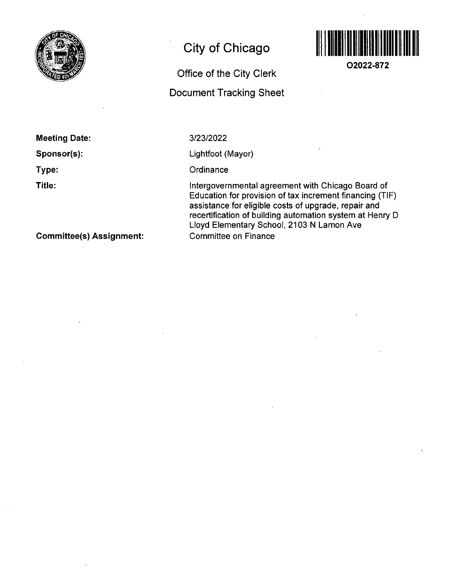

# **City of Chicago**

# Office of the City Clerk Document Tracking Sheet



**02022-872** 

Meeting Date:

Sponsor(s):

Type:

Title:

3/23/2022

Lightfoot (Mayor)

**Ordinance** 

Intergovernmental agreement with Chicago Board of Education for provision of fax increment financing (TIF) assistance for eligible costs of upgrade, repair and recertification of building automation system af Henry D Lloyd Elementary School, 2103 N Lamon Ave Committee on Finance

Committee(s) Assignment: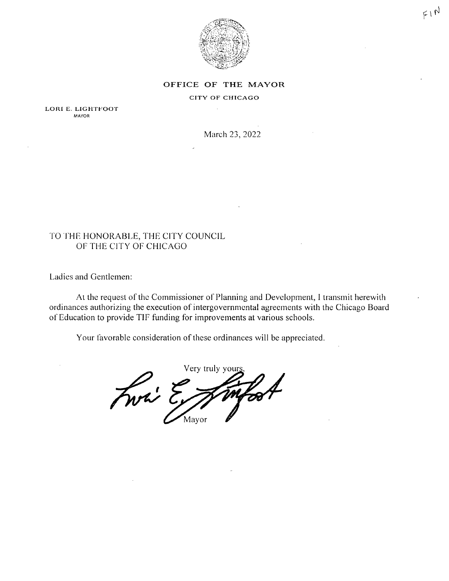

#### OFFICE OF THE MAYOR

### CITY OF CHICAGO

LORI E. LIGHTFOOT **MAYOR** 

March 23, 2022

## TO THE HONORABLE, THE CITY COUNCIL OF THE CITY OF CHICAGO

Ladies and Gentlemen:

At the request of the Commissioner of Planning and Development, I transmit herewith ordinances authorizing the execution of intergovernmental agreements with the Chicago Board of Education to provide TIF funding for improvements at various schools.

Your favorable consideration of these ordinances will be appreciated.

Very truly your Front E Mayor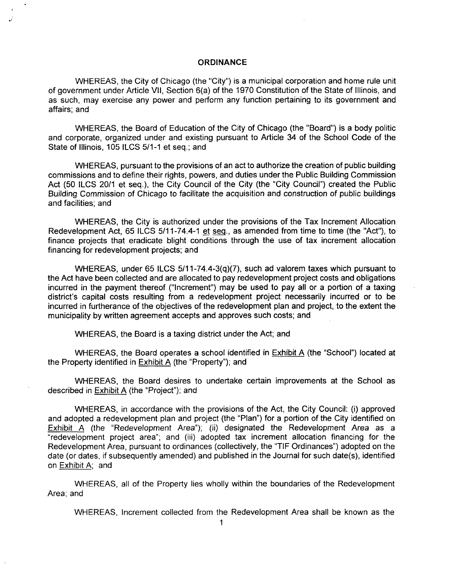### **ORDINANCE**

WHEREAS, the City of Chicago (the "City") is a municipal corporation and home rule unit of government under Article Vll, Section 6(a) of the 1970 Constitution of the State of Illinois, and as such, may exercise any power and perform any function pertaining to its government and affairs; and

WHEREAS, the Board of Education of the City of Chicago (the "Board") is a body politic and corporate, organized under and existing pursuant to Article 34 of the School Code of the State of Illinois, 105 ILCS 5/1-1 et seq.; and

WHEREAS, pursuant to the provisions of an act to authorize the creation of public building commissions and to define their rights, powers, and duties underthe Public Building Commission Act (50 ILCS 20/1 et seq.), the City Council of the City (the "City Council") created the Public Building Commission of Chicago to facilitate the acquisition and construction of public buildings and facilities; and

WHEREAS, the City is authorized under the provisions of the Tax Increment Allocation Redevelopment Act, 65 ILCS 5/11-74.4-1 et seg., as amended from time to time (the"Act"), to finance projects that eradicate blight conditions through the use of tax increment allocation financing for redevelopment projects; and

WHEREAS, under 65 ILCS 5/11-74.4-3(q)(7), such ad valorem taxes which pursuant to the Act have been collected and are allocated to pay redevelopment project costs and obligations incurred in the payment thereof ("Increment") may be used to pay all or a portion of a taxing district's capital costs resulting from a redevelopment project necessarily incurred or to be incurred in furtherance of the objectives of the redevelopment plan and project, to the extent the municipality by written agreement accepts and approves such costs; and

WHEREAS, the Board is a taxing district under the Act; and

WHEREAS, the Board operates a school identified in Exhibit A (the "School") located at the Property identified in Exhibit A (the "Property"); and

WHEREAS, the Board desires to undertake certain improvements at the School as described in Exhibit A (the "Project"); and

WHEREAS, in accordance with the provisions of the Act, the City Council: (i) approved and adopted a redevelopment plan and project (the "Plan") for a portion of the City identified on Exhibit A (the "Redevelopment Area"); (ii) designated the Redevelopment Area as a "redevelopment project area"; and (iii) adopted tax increment allocation financing for the Redevelopment Area, pursuant to ordinances (collectively, the "TIF Ordinances") adopted on the date (or dates, if subsequently amended) and published in the Journal for such date(s), identified on Exhibit A: and

WHEREAS, all of the Property lies wholly within the boundaries of the Redevelopment Area; and

WHEREAS, Increment collected from the Redevelopment Area shall be known as the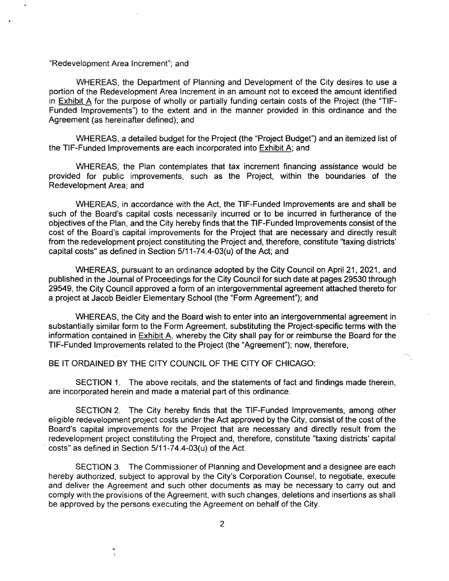"Redevelopment Area Increment"; and

WHEREAS, the Department of Planning and Development of the City desires to use a portion of the Redevelopment Area Increment in an amount not to exceed the amount identified in Exhibit A for the purpose of wholly or partially funding certain costs of the Project (the "TIF-Funded Improvements") to the extent and in the manner provided in this ordinance and the Agreement (as hereinafter defined); and

WHEREAS, a detailed budget for the Project (the "Project Budget") and an itemized list of the TIF-Funded Improvements are each incorporated into Exhibit A; and

WHEREAS, the Plan contemplates that tax increment financing assistance would be provided for public improvements, such as the Project, within the boundaries of the Redevelopment Area; and

WHEREAS, in accordance with the Act, the TIF-Funded Improvements are and shall be such of the Board's capital costs necessarily incurred or to be incurred in furtherance of the objectives of the Plan, and the City hereby finds that the TIF-Funded Improvements consist ofthe cost of the Board's capital improvements for the Project that are necessary and directly result from the redevelopment project constituting the Project and, therefore, constitute "taxing districts' capital costs" as defined in Section 5/11-74.4-03(u) of the Act; and

WHEREAS, pursuant to an ordinance adopted by the City Council on April 21, 2021, and published in the Journal of Proceedings for the City Council for such date at pages 29530 through 29549, the City Council approved a form of an intergovernmental agreement attached thereto for a project at Jacob Beidler Elementary School (the "Form Agreement"); and

WHEREAS, the City and the Board wish to enter into an intergovernmental agreement in substantially similar form to the Form Agreement, substituting the Project-specific terms with the information contained in Exhibit A. whereby the City shall pay for or reimburse the Board for the TIF-Funded Improvements related to the Project (the "Agreement"); now, therefore,

BE IT ORDAINED BY THE CITY COUNCIL OF THE CITY OF CHICAGO:

SECTION 1. The above recitals, and the statements of fact and findings made therein, are incorporated herein and made a material part of this ordinance.

SECTION 2. The City hereby finds that the TIF-Funded Improvements, among other eligible redevelopment project costs under the Act approved by the City, consist of the cost of the Board's capital improvements for the Project that are necessary and directly result from the redevelopment project constituting the Project and, therefore, constitute "taxing districts' capital costs" as defined in Section 5/11-74,4-03(u) of the Act,

SECTION 3. The Commissioner of Planning and Development and a designee are each hereby authorized, subject to approval by the City's Corporation Counsel, to negotiate, execute and deliver the Agreement and such other documents as may be necessary to carry out and comply with the provisions of the Agreement, with such changes, deletions and insertions as shall be approved by the persons executing the Agreement on behalf of the City,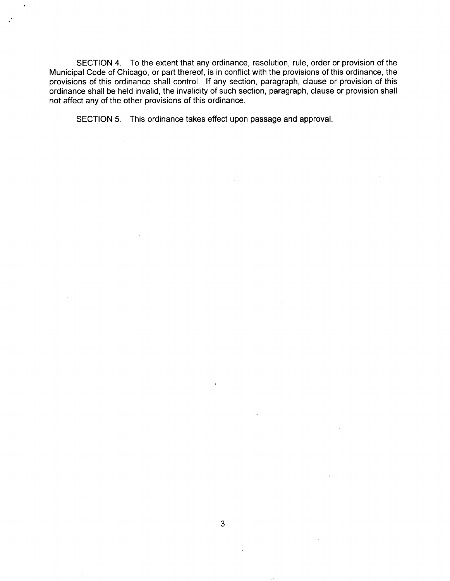SECTION 4. To the extent that any ordinance, resolution, rule, order or provision of the Municipal Code of Chicago, or part thereof, is in conflict with the provisions of this ordinance, the provisions of this ordinance shall control. If any section, paragraph, clause or provision of this ordinance shall be held invalid, the invalidity of such section, paragraph, clause or provision shall not affect any of the other provisions of this ordinance,

SECTION 5. This ordinance takes effect upon passage and approval.

 $\ddot{\phantom{a}}$